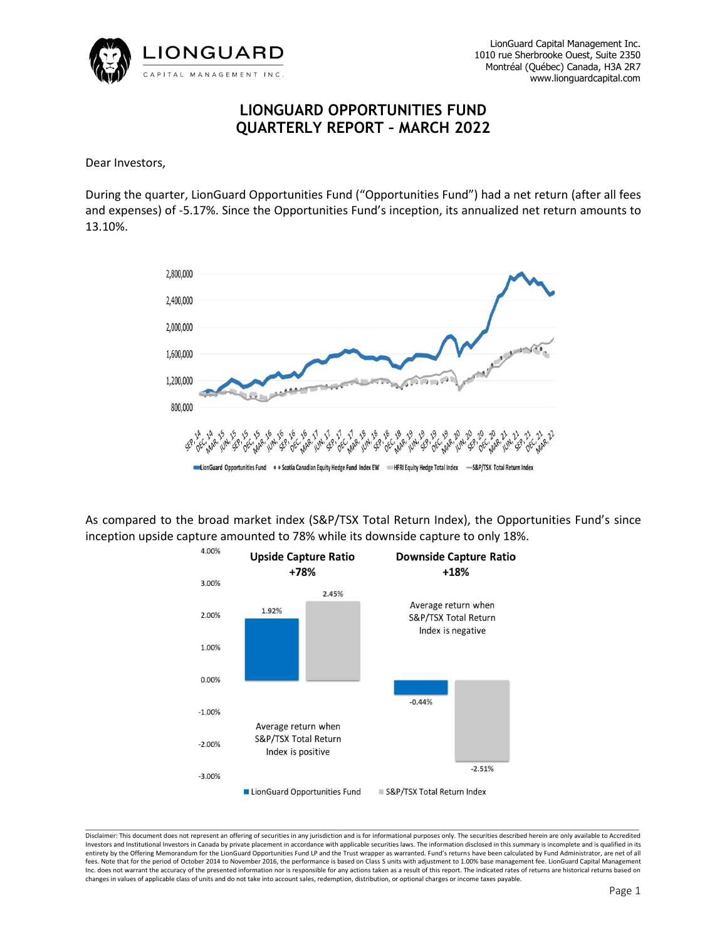

# **LIONGUARD OPPORTUNITIES FUND QUARTERLY REPORT – MARCH 2022**

Dear Investors,

During the quarter, LionGuard Opportunities Fund ("Opportunities Fund") had a net return (after all fees and expenses) of -5.17%. Since the Opportunities Fund's inception, its annualized net return amounts to 13.10%.



As compared to the broad market index (S&P/TSX Total Return Index), the Opportunities Fund's since inception upside capture amounted to 78% while its downside capture to only 18%.



\_\_\_\_\_\_\_\_\_\_\_\_\_\_\_\_\_\_\_\_\_\_\_\_\_\_\_\_\_\_\_\_\_\_\_\_\_\_\_\_\_\_\_\_\_\_\_\_\_\_\_\_\_\_\_\_\_\_\_\_\_\_\_\_\_\_\_\_\_\_\_\_\_\_\_\_\_\_\_\_\_\_\_\_\_\_\_\_\_\_\_\_\_\_\_\_\_\_\_\_\_\_\_\_\_\_\_\_\_\_\_\_\_\_\_\_\_\_\_\_\_\_\_\_\_\_\_\_\_\_\_\_\_\_\_\_\_\_\_\_\_\_\_\_\_\_\_\_\_\_\_\_\_\_\_\_ Disclaimer: This document does not represent an offering of securities in any jurisdiction and is for informational purposes only. The securities described herein are only available to Accredited Investors and Institutional Investors in Canada by private placement in accordance with applicable securities laws. The information disclosed in this summary is incomplete and is qualified in its entirety by the Offering Memorandum for the LionGuard Opportunities Fund LP and the Trust wrapper as warranted. Fund's returns have been calculated by Fund Administrator, are net of all fees. Note that for the period of October 2014 to November 2016, the performance is based on Class S units with adjustment to 1.00% base management fee. LionGuard Capital Management Inc. does not warrant the accuracy of the presented information nor is responsible for any actions taken as a result of this report. The indicated rates of returns are historical returns based on changes in values of applicable class of units and do not take into account sales, redemption, distribution, or optional charges or income taxes payable.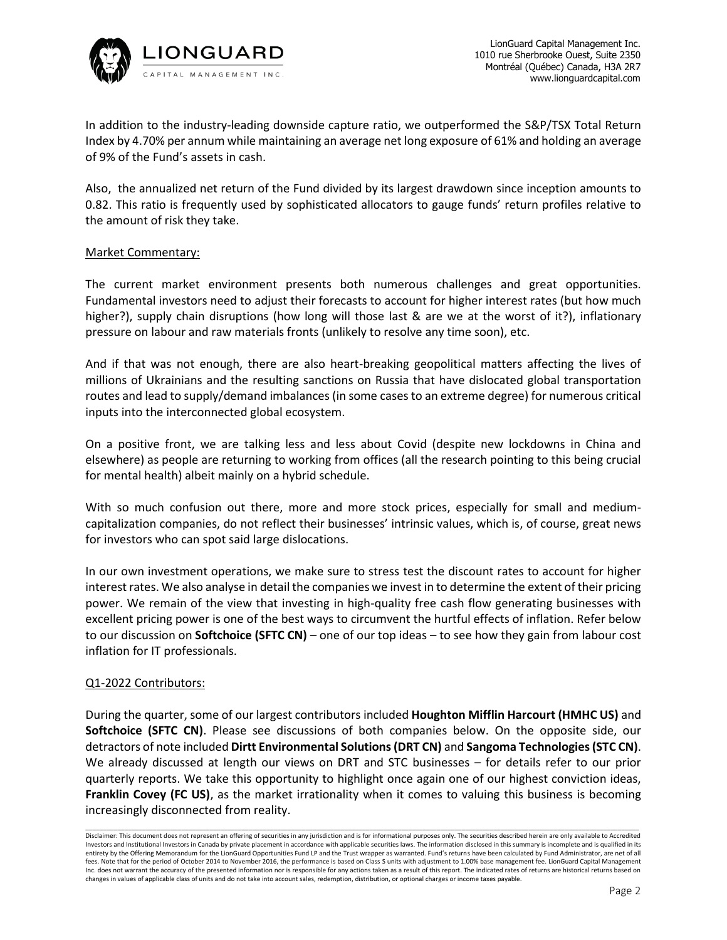

In addition to the industry-leading downside capture ratio, we outperformed the S&P/TSX Total Return Index by 4.70% per annum while maintaining an average net long exposure of 61% and holding an average of 9% of the Fund's assets in cash.

Also, the annualized net return of the Fund divided by its largest drawdown since inception amounts to 0.82. This ratio is frequently used by sophisticated allocators to gauge funds' return profiles relative to the amount of risk they take.

## Market Commentary:

The current market environment presents both numerous challenges and great opportunities. Fundamental investors need to adjust their forecasts to account for higher interest rates (but how much higher?), supply chain disruptions (how long will those last & are we at the worst of it?), inflationary pressure on labour and raw materials fronts (unlikely to resolve any time soon), etc.

And if that was not enough, there are also heart-breaking geopolitical matters affecting the lives of millions of Ukrainians and the resulting sanctions on Russia that have dislocated global transportation routes and lead to supply/demand imbalances (in some cases to an extreme degree) for numerous critical inputs into the interconnected global ecosystem.

On a positive front, we are talking less and less about Covid (despite new lockdowns in China and elsewhere) as people are returning to working from offices (all the research pointing to this being crucial for mental health) albeit mainly on a hybrid schedule.

With so much confusion out there, more and more stock prices, especially for small and mediumcapitalization companies, do not reflect their businesses' intrinsic values, which is, of course, great news for investors who can spot said large dislocations.

In our own investment operations, we make sure to stress test the discount rates to account for higher interest rates. We also analyse in detail the companies we invest in to determine the extent of their pricing power. We remain of the view that investing in high-quality free cash flow generating businesses with excellent pricing power is one of the best ways to circumvent the hurtful effects of inflation. Refer below to our discussion on **Softchoice (SFTC CN)** – one of our top ideas – to see how they gain from labour cost inflation for IT professionals.

# Q1-2022 Contributors:

During the quarter, some of our largest contributors included **Houghton Mifflin Harcourt (HMHC US)** and **Softchoice (SFTC CN)**. Please see discussions of both companies below. On the opposite side, our detractors of note included **Dirtt Environmental Solutions (DRT CN)** and **Sangoma Technologies (STC CN)**. We already discussed at length our views on DRT and STC businesses – for details refer to our prior quarterly reports. We take this opportunity to highlight once again one of our highest conviction ideas, **Franklin Covey (FC US)**, as the market irrationality when it comes to valuing this business is becoming increasingly disconnected from reality.

Disclaimer: This document does not represent an offering of securities in any jurisdiction and is for informational purposes only. The securities described herein are only available to Accredited Investors and Institutional Investors in Canada by private placement in accordance with applicable securities laws. The information disclosed in this summary is incomplete and is qualified in its entirety by the Offering Memorandum for the LionGuard Opportunities Fund LP and the Trust wrapper as warranted. Fund's returns have been calculated by Fund Administrator, are net of all fees. Note that for the period of October 2014 to November 2016, the performance is based on Class S units with adjustment to 1.00% base management fee. LionGuard Capital Management Inc. does not warrant the accuracy of the presented information nor is responsible for any actions taken as a result of this report. The indicated rates of returns are historical returns based on changes in values of applicable class of units and do not take into account sales, redemption, distribution, or optional charges or income taxes payable.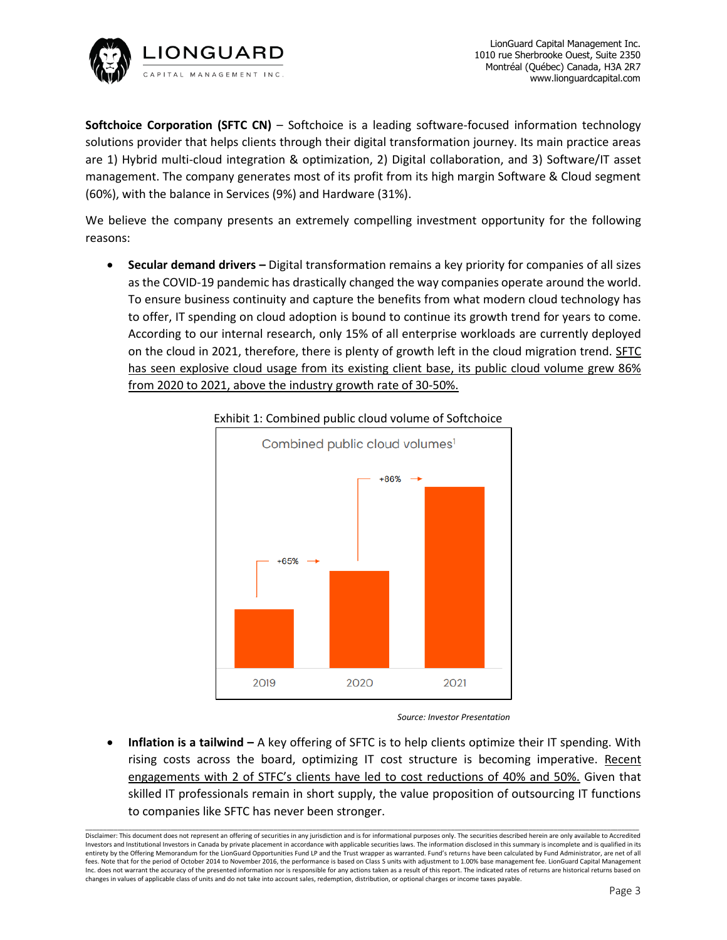

**Softchoice Corporation (SFTC CN)** – Softchoice is a leading software-focused information technology solutions provider that helps clients through their digital transformation journey. Its main practice areas are 1) Hybrid multi-cloud integration & optimization, 2) Digital collaboration, and 3) Software/IT asset management. The company generates most of its profit from its high margin Software & Cloud segment (60%), with the balance in Services (9%) and Hardware (31%).

We believe the company presents an extremely compelling investment opportunity for the following reasons:

• **Secular demand drivers –** Digital transformation remains a key priority for companies of all sizes as the COVID-19 pandemic has drastically changed the way companies operate around the world. To ensure business continuity and capture the benefits from what modern cloud technology has to offer, IT spending on cloud adoption is bound to continue its growth trend for years to come. According to our internal research, only 15% of all enterprise workloads are currently deployed on the cloud in 2021, therefore, there is plenty of growth left in the cloud migration trend. SFTC has seen explosive cloud usage from its existing client base, its public cloud volume grew 86% from 2020 to 2021, above the industry growth rate of 30-50%.





 *Source: Investor Presentation*

• **Inflation is a tailwind –** A key offering of SFTC is to help clients optimize their IT spending. With rising costs across the board, optimizing IT cost structure is becoming imperative. Recent engagements with 2 of STFC's clients have led to cost reductions of 40% and 50%. Given that skilled IT professionals remain in short supply, the value proposition of outsourcing IT functions to companies like SFTC has never been stronger.

Disclaimer: This document does not represent an offering of securities in any jurisdiction and is for informational purposes only. The securities described herein are only available to Accredited Investors and Institutional Investors in Canada by private placement in accordance with applicable securities laws. The information disclosed in this summary is incomplete and is qualified in its entirety by the Offering Memorandum for the LionGuard Opportunities Fund LP and the Trust wrapper as warranted. Fund's returns have been calculated by Fund Administrator, are net of all fees. Note that for the period of October 2014 to November 2016, the performance is based on Class S units with adjustment to 1.00% base management fee. LionGuard Capital Management Inc. does not warrant the accuracy of the presented information nor is responsible for any actions taken as a result of this report. The indicated rates of returns are historical returns based on changes in values of applicable class of units and do not take into account sales, redemption, distribution, or optional charges or income taxes payable.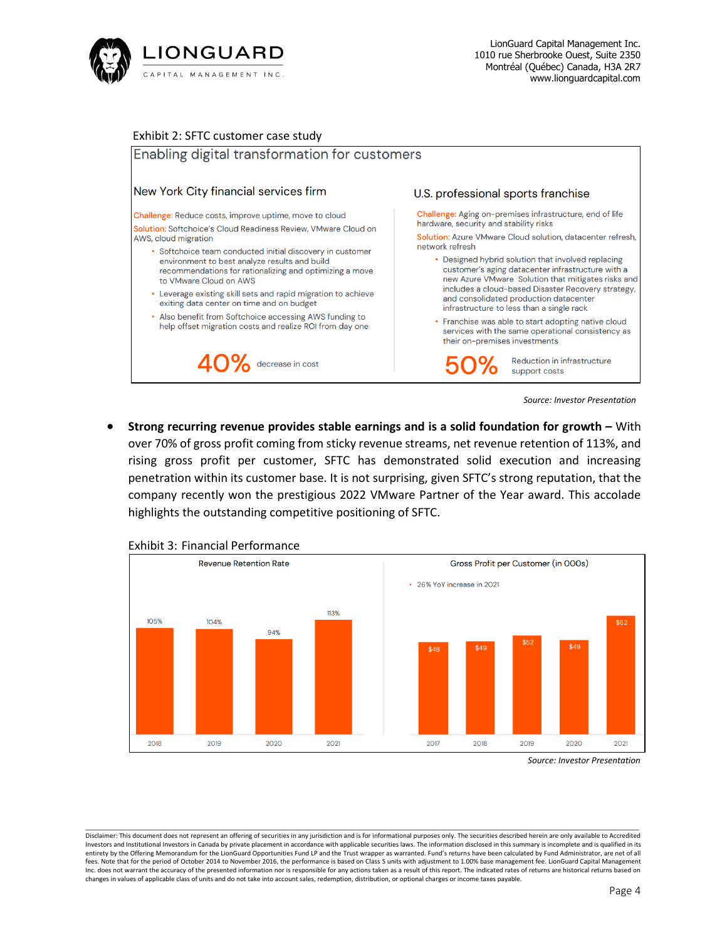

# Exhibit 2: SFTC customer case study



#### New York City financial services firm

Challenge: Reduce costs, improve uptime, move to cloud

Solution: Softchoice's Cloud Readiness Review, VMware Cloud on AWS, cloud migration

- Softchoice team conducted initial discovery in customer environment to best analyze results and build recommendations for rationalizing and optimizing a move to VMware Cloud on AWS
- Leverage existing skill sets and rapid migration to achieve exiting data center on time and on budget
- Also benefit from Softchoice accessing AWS funding to help offset migration costs and realize ROI from day one



#### U.S. professional sports franchise

Challenge: Aging on-premises infrastructure, end of life hardware, security and stability risks

Solution: Azure VMware Cloud solution, datacenter refresh, network refresh

- Designed hybrid solution that involved replacing customer's aging datacenter infrastructure with a new Azure VMware Solution that mitigates risks and includes a cloud-based Disaster Recovery strategy, and consolidated production datacenter infrastructure to less than a single rack
- Franchise was able to start adopting native cloud services with the same operational consistency as their on-premises investments

Reduction in infrastructure support costs

 *Source: Investor Presentation*

• **Strong recurring revenue provides stable earnings and is a solid foundation for growth –** With over 70% of gross profit coming from sticky revenue streams, net revenue retention of 113%, and rising gross profit per customer, SFTC has demonstrated solid execution and increasing penetration within its customer base. It is not surprising, given SFTC's strong reputation, that the company recently won the prestigious 2022 VMware Partner of the Year award. This accolade highlights the outstanding competitive positioning of SFTC.



Disclaimer: This document does not represent an offering of securities in any jurisdiction and is for informational purposes only. The securities described herein are only available to Accredited Investors and Institutional Investors in Canada by private placement in accordance with applicable securities laws. The information disclosed in this summary is incomplete and is qualified in its entirety by the Offering Memorandum for the LionGuard Opportunities Fund LP and the Trust wrapper as warranted. Fund's returns have been calculated by Fund Administrator, are net of all fees. Note that for the period of October 2014 to November 2016, the performance is based on Class S units with adjustment to 1.00% base management fee. LionGuard Capital Management Inc. does not warrant the accuracy of the presented information nor is responsible for any actions taken as a result of this report. The indicated rates of returns are historical returns based on changes in values of applicable class of units and do not take into account sales, redemption, distribution, or optional charges or income taxes payable.

\_\_\_\_\_\_\_\_\_\_\_\_\_\_\_\_\_\_\_\_\_\_\_\_\_\_\_\_\_\_\_\_\_\_\_\_\_\_\_\_\_\_\_\_\_\_\_\_\_\_\_\_\_\_\_\_\_\_\_\_\_\_\_\_\_\_\_\_\_\_\_\_\_\_\_\_\_\_\_\_\_\_\_\_\_\_\_\_\_\_\_\_\_\_\_\_\_\_\_\_\_\_\_\_\_\_\_\_\_\_\_\_\_\_\_\_\_\_\_\_\_\_\_\_\_\_\_\_\_\_\_\_\_\_\_\_\_\_\_\_\_\_\_\_\_\_\_\_\_\_\_\_\_\_\_\_

Exhibit 3: Financial Performance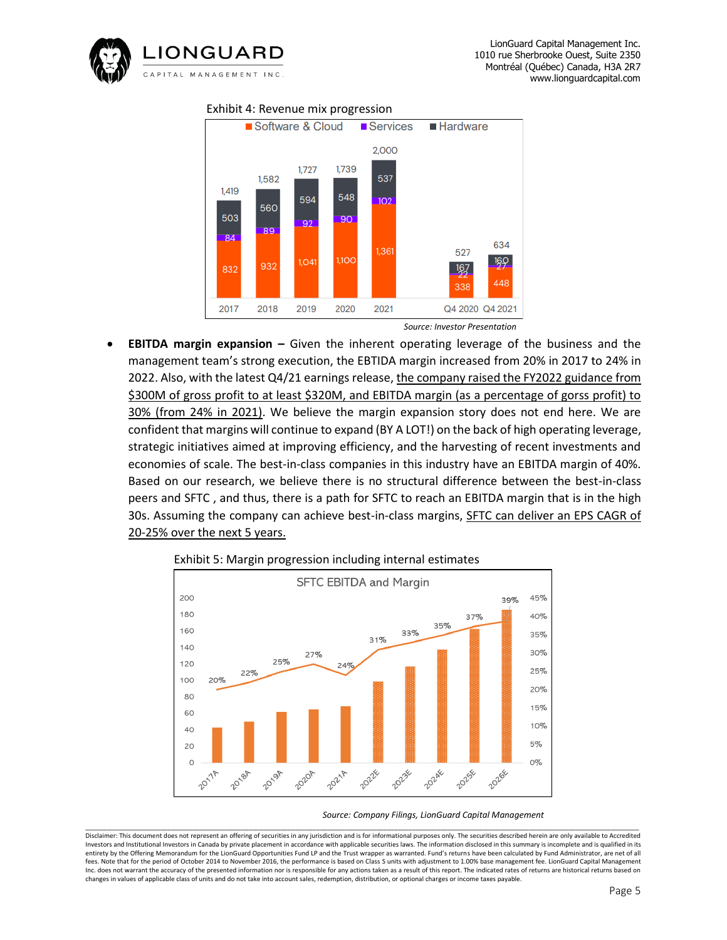

## Exhibit 4: Revenue mix progression



 *Source: Investor Presentation*

• **EBITDA margin expansion –** Given the inherent operating leverage of the business and the management team's strong execution, the EBTIDA margin increased from 20% in 2017 to 24% in 2022. Also, with the latest Q4/21 earnings release, the company raised the FY2022 guidance from \$300M of gross profit to at least \$320M, and EBITDA margin (as a percentage of gorss profit) to 30% (from 24% in 2021). We believe the margin expansion story does not end here. We are confident that margins will continue to expand (BY A LOT!) on the back of high operating leverage, strategic initiatives aimed at improving efficiency, and the harvesting of recent investments and economies of scale. The best-in-class companies in this industry have an EBITDA margin of 40%. Based on our research, we believe there is no structural difference between the best-in-class peers and SFTC , and thus, there is a path for SFTC to reach an EBITDA margin that is in the high 30s. Assuming the company can achieve best-in-class margins, SFTC can deliver an EPS CAGR of 20-25% over the next 5 years.



Exhibit 5: Margin progression including internal estimates

 *Source: Company Filings, LionGuard Capital Management*

\_\_\_\_\_\_\_\_\_\_\_\_\_\_\_\_\_\_\_\_\_\_\_\_\_\_\_\_\_\_\_\_\_\_\_\_\_\_\_\_\_\_\_\_\_\_\_\_\_\_\_\_\_\_\_\_\_\_\_\_\_\_\_\_\_\_\_\_\_\_\_\_\_\_\_\_\_\_\_\_\_\_\_\_\_\_\_\_\_\_\_\_\_\_\_\_\_\_\_\_\_\_\_\_\_\_\_\_\_\_\_\_\_\_\_\_\_\_\_\_\_\_\_\_\_\_\_\_\_\_\_\_\_\_\_\_\_\_\_\_\_\_\_\_\_\_\_\_\_\_\_\_\_\_\_\_ Disclaimer: This document does not represent an offering of securities in any jurisdiction and is for informational purposes only. The securities described herein are only available to Accredited Investors and Institutional Investors in Canada by private placement in accordance with applicable securities laws. The information disclosed in this summary is incomplete and is qualified in its entirety by the Offering Memorandum for the LionGuard Opportunities Fund LP and the Trust wrapper as warranted. Fund's returns have been calculated by Fund Administrator, are net of all fees. Note that for the period of October 2014 to November 2016, the performance is based on Class S units with adjustment to 1.00% base management fee. LionGuard Capital Management Inc. does not warrant the accuracy of the presented information nor is responsible for any actions taken as a result of this report. The indicated rates of returns are historical returns based on changes in values of applicable class of units and do not take into account sales, redemption, distribution, or optional charges or income taxes payable.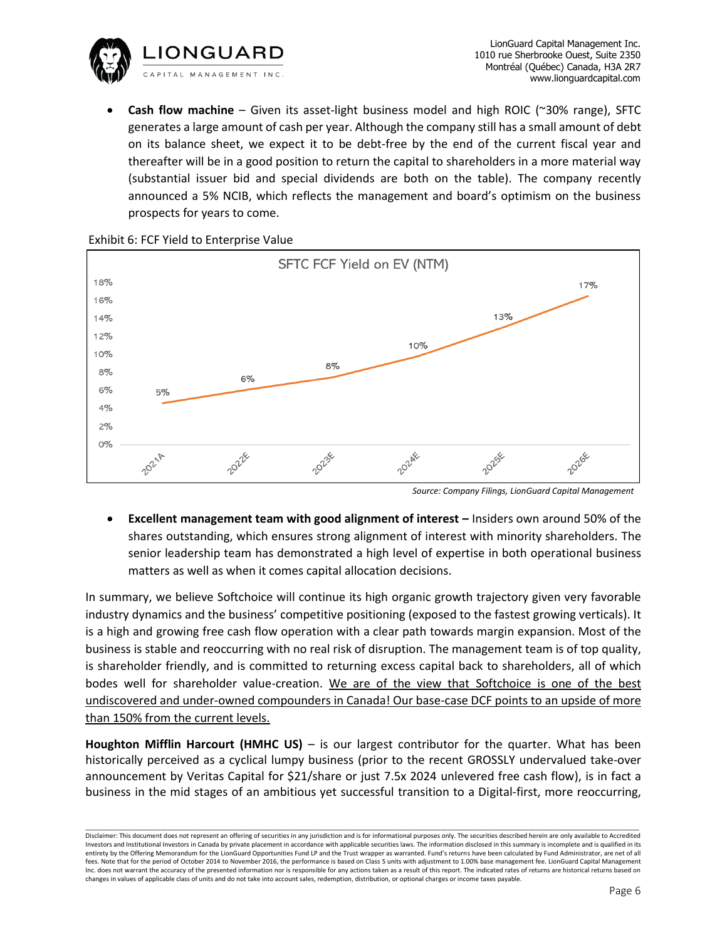

• **Cash flow machine** – Given its asset-light business model and high ROIC (~30% range), SFTC generates a large amount of cash per year. Although the company still has a small amount of debt on its balance sheet, we expect it to be debt-free by the end of the current fiscal year and thereafter will be in a good position to return the capital to shareholders in a more material way (substantial issuer bid and special dividends are both on the table). The company recently announced a 5% NCIB, which reflects the management and board's optimism on the business prospects for years to come.



Exhibit 6: FCF Yield to Enterprise Value

 *Source: Company Filings, LionGuard Capital Management*

• **Excellent management team with good alignment of interest –** Insiders own around 50% of the shares outstanding, which ensures strong alignment of interest with minority shareholders. The senior leadership team has demonstrated a high level of expertise in both operational business matters as well as when it comes capital allocation decisions.

In summary, we believe Softchoice will continue its high organic growth trajectory given very favorable industry dynamics and the business' competitive positioning (exposed to the fastest growing verticals). It is a high and growing free cash flow operation with a clear path towards margin expansion. Most of the business is stable and reoccurring with no real risk of disruption. The management team is of top quality, is shareholder friendly, and is committed to returning excess capital back to shareholders, all of which bodes well for shareholder value-creation. We are of the view that Softchoice is one of the best undiscovered and under-owned compounders in Canada! Our base-case DCF points to an upside of more than 150% from the current levels.

Houghton Mifflin Harcourt (HMHC US) - is our largest contributor for the quarter. What has been historically perceived as a cyclical lumpy business (prior to the recent GROSSLY undervalued take-over announcement by Veritas Capital for \$21/share or just 7.5x 2024 unlevered free cash flow), is in fact a business in the mid stages of an ambitious yet successful transition to a Digital-first, more reoccurring,

Disclaimer: This document does not represent an offering of securities in any jurisdiction and is for informational purposes only. The securities described herein are only available to Accredited Investors and Institutional Investors in Canada by private placement in accordance with applicable securities laws. The information disclosed in this summary is incomplete and is qualified in its entirety by the Offering Memorandum for the LionGuard Opportunities Fund LP and the Trust wrapper as warranted. Fund's returns have been calculated by Fund Administrator, are net of all fees. Note that for the period of October 2014 to November 2016, the performance is based on Class S units with adjustment to 1.00% base management fee. LionGuard Capital Management Inc. does not warrant the accuracy of the presented information nor is responsible for any actions taken as a result of this report. The indicated rates of returns are historical returns based on changes in values of applicable class of units and do not take into account sales, redemption, distribution, or optional charges or income taxes payable.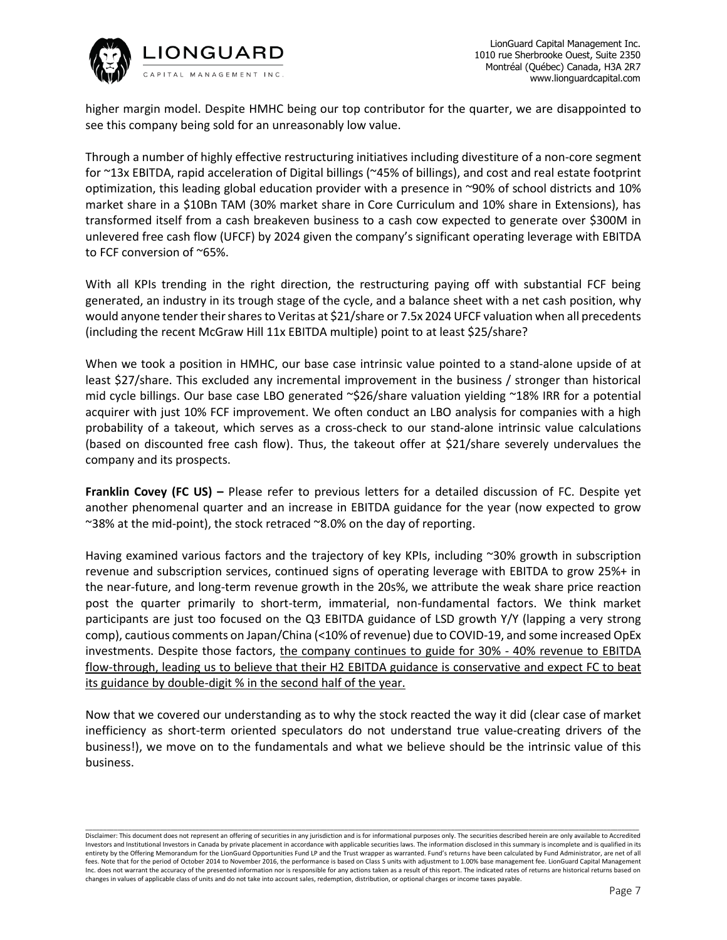

higher margin model. Despite HMHC being our top contributor for the quarter, we are disappointed to see this company being sold for an unreasonably low value.

Through a number of highly effective restructuring initiatives including divestiture of a non-core segment for ~13x EBITDA, rapid acceleration of Digital billings (~45% of billings), and cost and real estate footprint optimization, this leading global education provider with a presence in ~90% of school districts and 10% market share in a \$10Bn TAM (30% market share in Core Curriculum and 10% share in Extensions), has transformed itself from a cash breakeven business to a cash cow expected to generate over \$300M in unlevered free cash flow (UFCF) by 2024 given the company's significant operating leverage with EBITDA to FCF conversion of ~65%.

With all KPIs trending in the right direction, the restructuring paying off with substantial FCF being generated, an industry in its trough stage of the cycle, and a balance sheet with a net cash position, why would anyone tender their shares to Veritas at \$21/share or 7.5x 2024 UFCF valuation when all precedents (including the recent McGraw Hill 11x EBITDA multiple) point to at least \$25/share?

When we took a position in HMHC, our base case intrinsic value pointed to a stand-alone upside of at least \$27/share. This excluded any incremental improvement in the business / stronger than historical mid cycle billings. Our base case LBO generated ~\$26/share valuation yielding ~18% IRR for a potential acquirer with just 10% FCF improvement. We often conduct an LBO analysis for companies with a high probability of a takeout, which serves as a cross-check to our stand-alone intrinsic value calculations (based on discounted free cash flow). Thus, the takeout offer at \$21/share severely undervalues the company and its prospects.

**Franklin Covey (FC US) –** Please refer to previous letters for a detailed discussion of FC. Despite yet another phenomenal quarter and an increase in EBITDA guidance for the year (now expected to grow ~38% at the mid-point), the stock retraced ~8.0% on the day of reporting.

Having examined various factors and the trajectory of key KPIs, including ~30% growth in subscription revenue and subscription services, continued signs of operating leverage with EBITDA to grow 25%+ in the near-future, and long-term revenue growth in the 20s%, we attribute the weak share price reaction post the quarter primarily to short-term, immaterial, non-fundamental factors. We think market participants are just too focused on the Q3 EBITDA guidance of LSD growth Y/Y (lapping a very strong comp), cautious comments on Japan/China (<10% of revenue) due to COVID-19, and some increased OpEx investments. Despite those factors, the company continues to guide for 30% - 40% revenue to EBITDA flow-through, leading us to believe that their H2 EBITDA guidance is conservative and expect FC to beat its guidance by double-digit % in the second half of the year.

Now that we covered our understanding as to why the stock reacted the way it did (clear case of market inefficiency as short-term oriented speculators do not understand true value-creating drivers of the business!), we move on to the fundamentals and what we believe should be the intrinsic value of this business.

Disclaimer: This document does not represent an offering of securities in any jurisdiction and is for informational purposes only. The securities described herein are only available to Accredited Investors and Institutional Investors in Canada by private placement in accordance with applicable securities laws. The information disclosed in this summary is incomplete and is qualified in its entirety by the Offering Memorandum for the LionGuard Opportunities Fund LP and the Trust wrapper as warranted. Fund's returns have been calculated by Fund Administrator, are net of all fees. Note that for the period of October 2014 to November 2016, the performance is based on Class S units with adjustment to 1.00% base management fee. LionGuard Capital Management Inc. does not warrant the accuracy of the presented information nor is responsible for any actions taken as a result of this report. The indicated rates of returns are historical returns based on changes in values of applicable class of units and do not take into account sales, redemption, distribution, or optional charges or income taxes payable.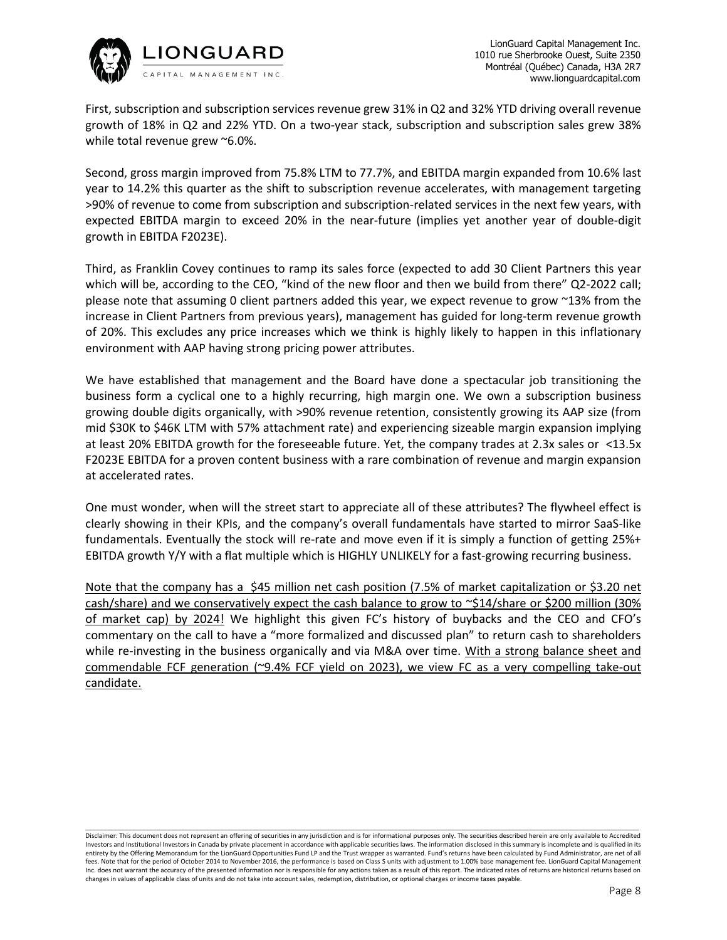

First, subscription and subscription services revenue grew 31% in Q2 and 32% YTD driving overall revenue growth of 18% in Q2 and 22% YTD. On a two-year stack, subscription and subscription sales grew 38% while total revenue grew ~6.0%.

Second, gross margin improved from 75.8% LTM to 77.7%, and EBITDA margin expanded from 10.6% last year to 14.2% this quarter as the shift to subscription revenue accelerates, with management targeting >90% of revenue to come from subscription and subscription-related services in the next few years, with expected EBITDA margin to exceed 20% in the near-future (implies yet another year of double-digit growth in EBITDA F2023E).

Third, as Franklin Covey continues to ramp its sales force (expected to add 30 Client Partners this year which will be, according to the CEO, "kind of the new floor and then we build from there" Q2-2022 call; please note that assuming 0 client partners added this year, we expect revenue to grow ~13% from the increase in Client Partners from previous years), management has guided for long-term revenue growth of 20%. This excludes any price increases which we think is highly likely to happen in this inflationary environment with AAP having strong pricing power attributes.

We have established that management and the Board have done a spectacular job transitioning the business form a cyclical one to a highly recurring, high margin one. We own a subscription business growing double digits organically, with >90% revenue retention, consistently growing its AAP size (from mid \$30K to \$46K LTM with 57% attachment rate) and experiencing sizeable margin expansion implying at least 20% EBITDA growth for the foreseeable future. Yet, the company trades at 2.3x sales or <13.5x F2023E EBITDA for a proven content business with a rare combination of revenue and margin expansion at accelerated rates.

One must wonder, when will the street start to appreciate all of these attributes? The flywheel effect is clearly showing in their KPIs, and the company's overall fundamentals have started to mirror SaaS-like fundamentals. Eventually the stock will re-rate and move even if it is simply a function of getting 25%+ EBITDA growth Y/Y with a flat multiple which is HIGHLY UNLIKELY for a fast-growing recurring business.

Note that the company has a \$45 million net cash position (7.5% of market capitalization or \$3.20 net cash/share) and we conservatively expect the cash balance to grow to ~\$14/share or \$200 million (30% of market cap) by 2024! We highlight this given FC's history of buybacks and the CEO and CFO's commentary on the call to have a "more formalized and discussed plan" to return cash to shareholders while re-investing in the business organically and via M&A over time. With a strong balance sheet and commendable FCF generation (~9.4% FCF yield on 2023), we view FC as a very compelling take-out candidate.

Disclaimer: This document does not represent an offering of securities in any jurisdiction and is for informational purposes only. The securities described herein are only available to Accredited Investors and Institutional Investors in Canada by private placement in accordance with applicable securities laws. The information disclosed in this summary is incomplete and is qualified in its entirety by the Offering Memorandum for the LionGuard Opportunities Fund LP and the Trust wrapper as warranted. Fund's returns have been calculated by Fund Administrator, are net of all fees. Note that for the period of October 2014 to November 2016, the performance is based on Class S units with adjustment to 1.00% base management fee. LionGuard Capital Management Inc. does not warrant the accuracy of the presented information nor is responsible for any actions taken as a result of this report. The indicated rates of returns are historical returns based on changes in values of applicable class of units and do not take into account sales, redemption, distribution, or optional charges or income taxes payable.